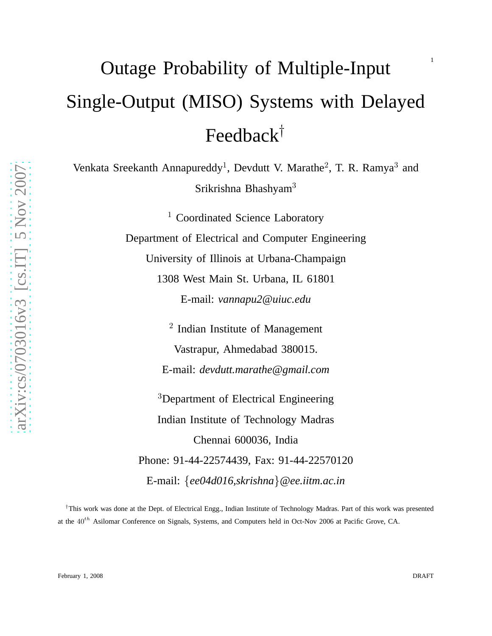# Outage Probability of Multiple-Input Single-Output (MISO) Systems with Delayed Feedback†

Venkata Sreekanth Annapureddy<sup>1</sup>, Devdutt V. Marathe<sup>2</sup>, T. R. Ramya<sup>3</sup> and Srikrishna Bhashyam<sup>3</sup>

> <sup>1</sup> Coordinated Science Laboratory Department of Electrical and Computer Engineering University of Illinois at Urbana-Champaign 1308 West Main St. Urbana, IL 61801 E-mail: *vannapu2@uiuc.edu*

> > <sup>2</sup> Indian Institute of Management Vastrapur, Ahmedabad 380015. E-mail: *devdutt.marathe@gmail.com*

<sup>3</sup>Department of Electrical Engineering Indian Institute of Technology Madras Chennai 600036, India Phone: 91-44-22574439, Fax: 91-44-22570120 E-mail: {*ee04d016,skrishna*}*@ee.iitm.ac.in*

†This work was done at the Dept. of Electrical Engg., Indian Institute of Technology Madras. Part of this work was presented at the 40<sup>th</sup> Asilomar Conference on Signals, Systems, and Computers held in Oct-Nov 2006 at Pacific Grove, CA.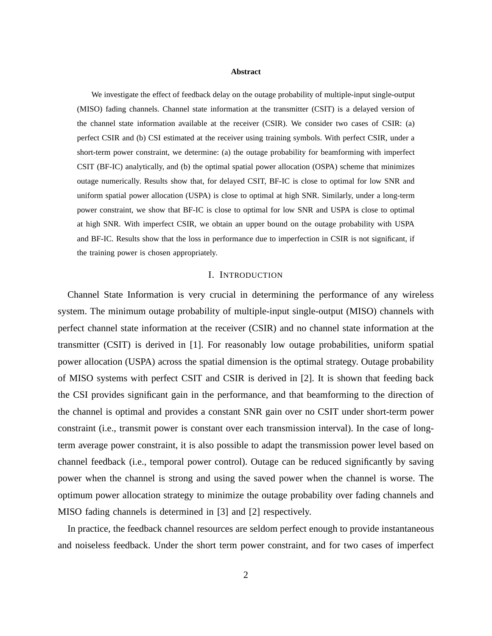#### **Abstract**

We investigate the effect of feedback delay on the outage probability of multiple-input single-output (MISO) fading channels. Channel state information at the transmitter (CSIT) is a delayed version of the channel state information available at the receiver (CSIR). We consider two cases of CSIR: (a) perfect CSIR and (b) CSI estimated at the receiver using training symbols. With perfect CSIR, under a short-term power constraint, we determine: (a) the outage probability for beamforming with imperfect CSIT (BF-IC) analytically, and (b) the optimal spatial power allocation (OSPA) scheme that minimizes outage numerically. Results show that, for delayed CSIT, BF-IC is close to optimal for low SNR and uniform spatial power allocation (USPA) is close to optimal at high SNR. Similarly, under a long-term power constraint, we show that BF-IC is close to optimal for low SNR and USPA is close to optimal at high SNR. With imperfect CSIR, we obtain an upper bound on the outage probability with USPA and BF-IC. Results show that the loss in performance due to imperfection in CSIR is not significant, if the training power is chosen appropriately.

#### I. INTRODUCTION

Channel State Information is very crucial in determining the performance of any wireless system. The minimum outage probability of multiple-input single-output (MISO) channels with perfect channel state information at the receiver (CSIR) and no channel state information at the transmitter (CSIT) is derived in [1]. For reasonably low outage probabilities, uniform spatial power allocation (USPA) across the spatial dimension is the optimal strategy. Outage probability of MISO systems with perfect CSIT and CSIR is derived in [2]. It is shown that feeding back the CSI provides significant gain in the performance, and that beamforming to the direction of the channel is optimal and provides a constant SNR gain over no CSIT under short-term power constraint (i.e., transmit power is constant over each transmission interval). In the case of longterm average power constraint, it is also possible to adapt the transmission power level based on channel feedback (i.e., temporal power control). Outage can be reduced significantly by saving power when the channel is strong and using the saved power when the channel is worse. The optimum power allocation strategy to minimize the outage probability over fading channels and MISO fading channels is determined in [3] and [2] respectively.

In practice, the feedback channel resources are seldom perfect enough to provide instantaneous and noiseless feedback. Under the short term power constraint, and for two cases of imperfect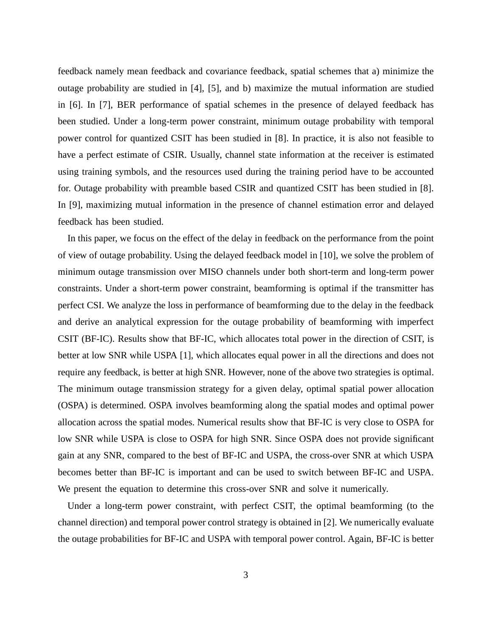feedback namely mean feedback and covariance feedback, spatial schemes that a) minimize the outage probability are studied in [4], [5], and b) maximize the mutual information are studied in [6]. In [7], BER performance of spatial schemes in the presence of delayed feedback has been studied. Under a long-term power constraint, minimum outage probability with temporal power control for quantized CSIT has been studied in [8]. In practice, it is also not feasible to have a perfect estimate of CSIR. Usually, channel state information at the receiver is estimated using training symbols, and the resources used during the training period have to be accounted for. Outage probability with preamble based CSIR and quantized CSIT has been studied in [8]. In [9], maximizing mutual information in the presence of channel estimation error and delayed feedback has been studied.

In this paper, we focus on the effect of the delay in feedback on the performance from the point of view of outage probability. Using the delayed feedback model in [10], we solve the problem of minimum outage transmission over MISO channels under both short-term and long-term power constraints. Under a short-term power constraint, beamforming is optimal if the transmitter has perfect CSI. We analyze the loss in performance of beamforming due to the delay in the feedback and derive an analytical expression for the outage probability of beamforming with imperfect CSIT (BF-IC). Results show that BF-IC, which allocates total power in the direction of CSIT, is better at low SNR while USPA [1], which allocates equal power in all the directions and does not require any feedback, is better at high SNR. However, none of the above two strategies is optimal. The minimum outage transmission strategy for a given delay, optimal spatial power allocation (OSPA) is determined. OSPA involves beamforming along the spatial modes and optimal power allocation across the spatial modes. Numerical results show that BF-IC is very close to OSPA for low SNR while USPA is close to OSPA for high SNR. Since OSPA does not provide significant gain at any SNR, compared to the best of BF-IC and USPA, the cross-over SNR at which USPA becomes better than BF-IC is important and can be used to switch between BF-IC and USPA. We present the equation to determine this cross-over SNR and solve it numerically.

Under a long-term power constraint, with perfect CSIT, the optimal beamforming (to the channel direction) and temporal power control strategy is obtained in [2]. We numerically evaluate the outage probabilities for BF-IC and USPA with temporal power control. Again, BF-IC is better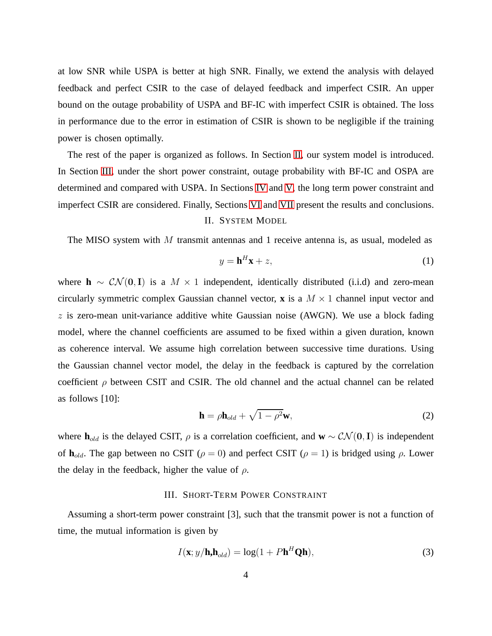at low SNR while USPA is better at high SNR. Finally, we extend the analysis with delayed feedback and perfect CSIR to the case of delayed feedback and imperfect CSIR. An upper bound on the outage probability of USPA and BF-IC with imperfect CSIR is obtained. The loss in performance due to the error in estimation of CSIR is shown to be negligible if the training power is chosen optimally.

The rest of the paper is organized as follows. In Section [II,](#page-3-0) our system model is introduced. In Section [III,](#page-3-1) under the short power constraint, outage probability with BF-IC and OSPA are determined and compared with USPA. In Sections [IV](#page-9-0) and [V,](#page-10-0) the long term power constraint and imperfect CSIR are considered. Finally, Sections [VI](#page-12-0) and [VII](#page-13-0) present the results and conclusions. II. SYSTEM MODEL

<span id="page-3-0"></span>The MISO system with  $M$  transmit antennas and 1 receive antenna is, as usual, modeled as

$$
y = \mathbf{h}^H \mathbf{x} + z,\tag{1}
$$

where **h** ∼  $CN(0, I)$  is a  $M \times 1$  independent, identically distributed (i.i.d) and zero-mean circularly symmetric complex Gaussian channel vector, **x** is a  $M \times 1$  channel input vector and  $z$  is zero-mean unit-variance additive white Gaussian noise (AWGN). We use a block fading model, where the channel coefficients are assumed to be fixed within a given duration, known as coherence interval. We assume high correlation between successive time durations. Using the Gaussian channel vector model, the delay in the feedback is captured by the correlation coefficient  $\rho$  between CSIT and CSIR. The old channel and the actual channel can be related as follows [10]:

<span id="page-3-3"></span>
$$
\mathbf{h} = \rho \mathbf{h}_{old} + \sqrt{1 - \rho^2} \mathbf{w},\tag{2}
$$

<span id="page-3-1"></span>where **h**<sub>old</sub> is the delayed CSIT,  $\rho$  is a correlation coefficient, and **w** ~  $CN(0, I)$  is independent of **. The gap between no CSIT (** $\rho = 0$ **) and perfect CSIT (** $\rho = 1$ **) is bridged using**  $\rho$ **. Lower** the delay in the feedback, higher the value of  $\rho$ .

### III. SHORT-TERM POWER CONSTRAINT

Assuming a short-term power constraint [3], such that the transmit power is not a function of time, the mutual information is given by

<span id="page-3-2"></span>
$$
I(\mathbf{x}; y/\mathbf{h}, \mathbf{h}_{old}) = \log(1 + P\mathbf{h}^H \mathbf{Q}\mathbf{h}),
$$
\n(3)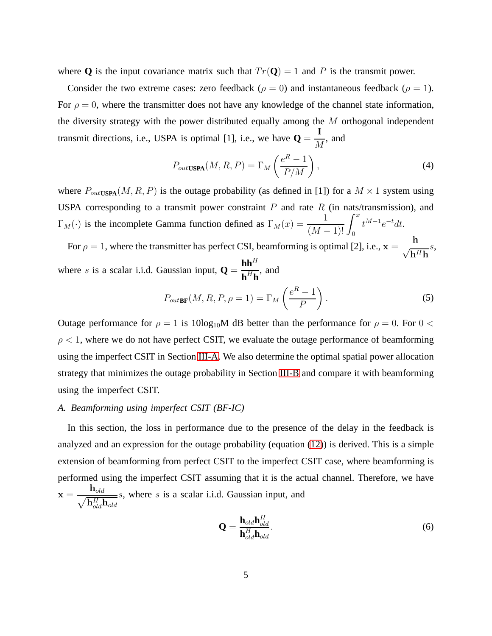where **Q** is the input covariance matrix such that  $Tr(\mathbf{Q}) = 1$  and P is the transmit power.

Consider the two extreme cases: zero feedback ( $\rho = 0$ ) and instantaneous feedback ( $\rho = 1$ ). For  $\rho = 0$ , where the transmitter does not have any knowledge of the channel state information, the diversity strategy with the power distributed equally among the  $M$  orthogonal independent transmit directions, i.e., USPA is optimal [1], i.e., we have  $Q =$ **I** M , and

$$
P_{out\text{USPA}}(M, R, P) = \Gamma_M \left(\frac{e^R - 1}{P/M}\right),\tag{4}
$$

<span id="page-4-2"></span>where  $P_{outUSPA}(M, R, P)$  is the outage probability (as defined in [1]) for a  $M \times 1$  system using USPA corresponding to a transmit power constraint  $P$  and rate  $R$  (in nats/transmission), and  $\Gamma_M(\cdot)$  is the incomplete Gamma function defined as  $\Gamma_M(x) = \frac{1}{(M-1)!} \int_0^x$  $t^{M-1}e^{-t}dt$ .

For  $\rho = 1$ , where the transmitter has perfect CSI, beamforming is optimal [2], i.e.,  $\mathbf{x} =$ h  $\sqrt{\mathbf{h}^H \mathbf{h}}$ s, where s is a scalar i.i.d. Gaussian input,  $Q =$  $\mathbf{h}\mathbf{h}^H$  $\frac{\mathbf{m}}{\mathbf{h}^H \mathbf{h}}$ , and

$$
P_{outBF}(M, R, P, \rho = 1) = \Gamma_M \left(\frac{e^R - 1}{P}\right).
$$
 (5)

Outage performance for  $\rho = 1$  is 10log<sub>10</sub>M dB better than the performance for  $\rho = 0$ . For 0 <  $\rho$  < 1, where we do not have perfect CSIT, we evaluate the outage performance of beamforming using the imperfect CSIT in Section [III-A.](#page-4-0) We also determine the optimal spatial power allocation strategy that minimizes the outage probability in Section [III-B](#page-6-0) and compare it with beamforming using the imperfect CSIT.

## <span id="page-4-0"></span>*A. Beamforming using imperfect CSIT (BF-IC)*

In this section, the loss in performance due to the presence of the delay in the feedback is analyzed and an expression for the outage probability (equation [\(12\)](#page-5-0)) is derived. This is a simple extension of beamforming from perfect CSIT to the imperfect CSIT case, where beamforming is performed using the imperfect CSIT assuming that it is the actual channel. Therefore, we have  $x = \frac{1}{\sqrt{2}}$  $\mathbf{h}_{old}$  $\mathbf{h}_{old}^H \mathbf{h}_{old}$ s, where s is a scalar i.i.d. Gaussian input, and

<span id="page-4-1"></span>
$$
\mathbf{Q} = \frac{\mathbf{h}_{old}\mathbf{h}_{old}^H}{\mathbf{h}_{old}^H \mathbf{h}_{old}}.\tag{6}
$$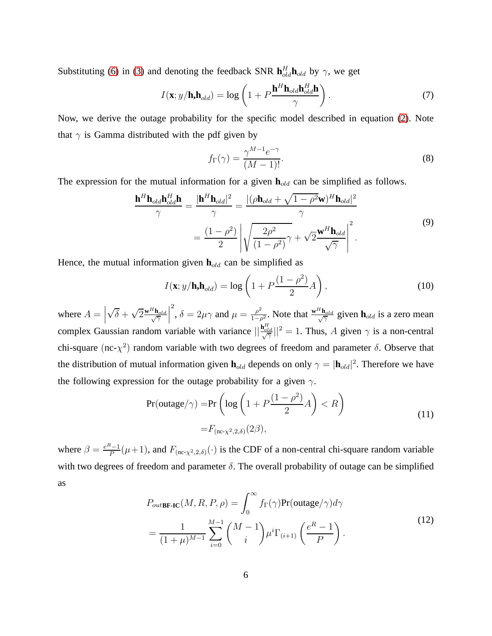Substituting [\(6\)](#page-4-1) in [\(3\)](#page-3-2) and denoting the feedback SNR  $\mathbf{h}_{old}^{H}$ **h**<sub>old</sub> by  $\gamma$ , we get

$$
I(\mathbf{x}; y/\mathbf{h}, \mathbf{h}_{old}) = \log \left( 1 + P \frac{\mathbf{h}^{H} \mathbf{h}_{old} \mathbf{h}_{old}^{H}}{\gamma} \right).
$$
 (7)

Now, we derive the outage probability for the specific model described in equation [\(2\)](#page-3-3). Note that  $\gamma$  is Gamma distributed with the pdf given by

$$
f_{\Gamma}(\gamma) = \frac{\gamma^{M-1} e^{-\gamma}}{(M-1)!}.
$$
\n(8)

The expression for the mutual information for a given  $\mathbf{h}_{old}$  can be simplified as follows.

$$
\frac{\mathbf{h}^{H}\mathbf{h}_{old}\mathbf{h}_{old}^{H}\mathbf{h}}{\gamma} = \frac{|\mathbf{h}^{H}\mathbf{h}_{old}|^{2}}{\gamma} = \frac{|(\rho\mathbf{h}_{old} + \sqrt{1-\rho^{2}}\mathbf{w})^{H}\mathbf{h}_{old}|^{2}}{\gamma}
$$
\n
$$
= \frac{(1-\rho^{2})}{2} \left| \sqrt{\frac{2\rho^{2}}{(1-\rho^{2})}\gamma} + \sqrt{2}\frac{\mathbf{w}^{H}\mathbf{h}_{old}}{\sqrt{\gamma}} \right|^{2}.
$$
\n(9)

Hence, the mutual information given  $\mathbf{h}_{old}$  can be simplified as

$$
I(\mathbf{x}; y/\mathbf{h}, \mathbf{h}_{old}) = \log\left(1 + P\frac{(1 - \rho^2)}{2}A\right),\tag{10}
$$

where  $A =$  $\sqrt{\delta} + \sqrt{2} \frac{\mathbf{w}^{H} \mathbf{h}_{old}}{\sqrt{\gamma}}$ γ <sup>2</sup>,  $\delta = 2\mu\gamma$  and  $\mu = \frac{\rho^2}{1-\rho^2}$  $\frac{\rho^2}{1-\rho^2}$ . Note that  $\frac{\mathbf{w}^H \mathbf{h}_{old}}{\sqrt{\gamma}}$  $\frac{\mathbf{n}_{old}}{\gamma}$  given  $\mathbf{h}_{old}$  is a zero mean complex Gaussian random variable with variance  $||\frac{\mathbf{h}_{old}^H}{\sqrt{\gamma}}||^2 = 1$ . Thus, A given  $\gamma$  is a non-central chi-square (nc- $\chi^2$ ) random variable with two degrees of freedom and parameter  $\delta$ . Observe that the distribution of mutual information given  $h_{old}$  depends on only  $\gamma = |h_{old}|^2$ . Therefore we have the following expression for the outage probability for a given  $\gamma$ .

$$
Pr(outage/\gamma) = Pr\left(log\left(1 + P\frac{(1 - \rho^2)}{2}A\right) < R\right)
$$
\n
$$
= F_{(nc - \chi^2, 2, \delta)}(2\beta),\tag{11}
$$

<span id="page-5-1"></span><span id="page-5-0"></span>where  $\beta = \frac{e^{R}-1}{P}(\mu+1)$ , and  $F_{(\text{nc-}\chi^2,2,\delta)}(\cdot)$  is the CDF of a non-central chi-square random variable with two degrees of freedom and parameter  $\delta$ . The overall probability of outage can be simplified as

$$
P_{out\text{BF-IC}}(M, R, P, \rho) = \int_0^\infty f_\Gamma(\gamma) \text{Pr(outage}/\gamma) d\gamma
$$
  
= 
$$
\frac{1}{(1+\mu)^{M-1}} \sum_{i=0}^{M-1} {M-1 \choose i} \mu^i \Gamma_{(i+1)} \left(\frac{e^R - 1}{P}\right).
$$
 (12)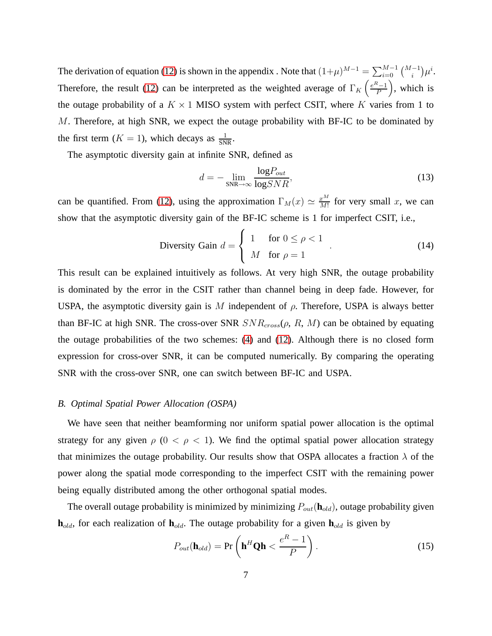The derivation of equation [\(12\)](#page-5-0) is shown in the appendix . Note that  $(1+\mu)^{M-1} = \sum_{i=0}^{M-1} {M-1 \choose i} \mu^i$ . Therefore, the result [\(12\)](#page-5-0) can be interpreted as the weighted average of  $\Gamma_K\left(\frac{e^{R}-1}{P}\right)$  , which is the outage probability of a  $K \times 1$  MISO system with perfect CSIT, where K varies from 1 to  $M$ . Therefore, at high SNR, we expect the outage probability with BF-IC to be dominated by the first term  $(K = 1)$ , which decays as  $\frac{1}{SNR}$ .

The asymptotic diversity gain at infinite SNR, defined as

$$
d = -\lim_{\text{SNR}\to\infty} \frac{\log P_{out}}{\log SNR},\tag{13}
$$

can be quantified. From [\(12\)](#page-5-0), using the approximation  $\Gamma_M(x) \simeq \frac{x^M}{M!}$  $\frac{x^M}{M!}$  for very small x, we can show that the asymptotic diversity gain of the BF-IC scheme is 1 for imperfect CSIT, i.e.,

$$
\text{Diversity Gain } d = \begin{cases} 1 & \text{for } 0 \le \rho < 1 \\ M & \text{for } \rho = 1 \end{cases} \tag{14}
$$

This result can be explained intuitively as follows. At very high SNR, the outage probability is dominated by the error in the CSIT rather than channel being in deep fade. However, for USPA, the asymptotic diversity gain is M independent of  $\rho$ . Therefore, USPA is always better than BF-IC at high SNR. The cross-over SNR  $SNR_{cross}(\rho, R, M)$  can be obtained by equating the outage probabilities of the two schemes: [\(4\)](#page-4-2) and [\(12\)](#page-5-0). Although there is no closed form expression for cross-over SNR, it can be computed numerically. By comparing the operating SNR with the cross-over SNR, one can switch between BF-IC and USPA.

#### <span id="page-6-0"></span>*B. Optimal Spatial Power Allocation (OSPA)*

We have seen that neither beamforming nor uniform spatial power allocation is the optimal strategy for any given  $\rho$  ( $0 < \rho < 1$ ). We find the optimal spatial power allocation strategy that minimizes the outage probability. Our results show that OSPA allocates a fraction  $\lambda$  of the power along the spatial mode corresponding to the imperfect CSIT with the remaining power being equally distributed among the other orthogonal spatial modes.

The overall outage probability is minimized by minimizing  $P_{out}(\mathbf{h}_{old})$ , outage probability given  $h_{old}$ , for each realization of  $h_{old}$ . The outage probability for a given  $h_{old}$  is given by

$$
P_{out}(\mathbf{h}_{old}) = \Pr\left(\mathbf{h}^{H}\mathbf{Q}\mathbf{h} < \frac{e^{R} - 1}{P}\right). \tag{15}
$$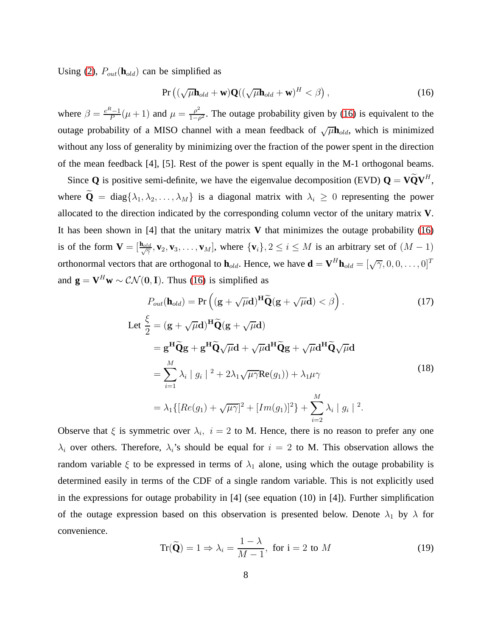Using [\(2\)](#page-3-3),  $P_{out}(\mathbf{h}_{old})$  can be simplified as

<span id="page-7-0"></span>
$$
\Pr\left((\sqrt{\mu}\mathbf{h}_{old}+\mathbf{w})\mathbf{Q}((\sqrt{\mu}\mathbf{h}_{old}+\mathbf{w})^H<\beta\right),\tag{16}
$$

where  $\beta = \frac{e^{R}-1}{P}(\mu+1)$  and  $\mu = \frac{\rho^{2}}{1-\rho^{2}}$  $\frac{\rho^2}{1-\rho^2}$ . The outage probability given by [\(16\)](#page-7-0) is equivalent to the outage probability of a MISO channel with a mean feedback of  $\sqrt{\mu}$ **h**<sub>old</sub>, which is minimized without any loss of generality by minimizing over the fraction of the power spent in the direction of the mean feedback [4], [5]. Rest of the power is spent equally in the M-1 orthogonal beams.

Since **Q** is positive semi-definite, we have the eigenvalue decomposition (EVD)  $\mathbf{Q} = \mathbf{V}\tilde{\mathbf{Q}}\mathbf{V}^H$ , where  $\widetilde{\mathbf{Q}} = \text{diag}\{\lambda_1, \lambda_2, \dots, \lambda_M\}$  is a diagonal matrix with  $\lambda_i \geq 0$  representing the power allocated to the direction indicated by the corresponding column vector of the unitary matrix **V**. It has been shown in [4] that the unitary matrix **V** that minimizes the outage probability [\(16\)](#page-7-0) is of the form  $V = [\frac{\mathbf{h}_{old}}{\sqrt{2}}, \mathbf{v}_2, \mathbf{v}_3, \dots, \mathbf{v}_M]$ , where  $\{\mathbf{v}_i\}, 2 \le i \le M$  is an arbitrary set of  $(M - 1)$ orthonormal vectors that are orthogonal to  $\mathbf{h}_{old}$ . Hence, we have  $\mathbf{d} = \mathbf{V}^H \mathbf{h}_{old} = [\sqrt{\gamma}, 0, 0, \dots, 0]^T$ and  $\mathbf{g} = \mathbf{V}^H \mathbf{w} \sim \mathcal{CN}(\mathbf{0}, \mathbf{I})$ . Thus [\(16\)](#page-7-0) is simplified as

$$
P_{out}(\mathbf{h}_{old}) = \Pr\left((\mathbf{g} + \sqrt{\mu}\mathbf{d})^{\mathbf{H}}\widetilde{\mathbf{Q}}(\mathbf{g} + \sqrt{\mu}\mathbf{d}) < \beta\right).
$$
 (17)

Let 
$$
\frac{\xi}{2} = (\mathbf{g} + \sqrt{\mu}\mathbf{d})^{\mathbf{H}}\widetilde{\mathbf{Q}}(\mathbf{g} + \sqrt{\mu}\mathbf{d})
$$
  
\n
$$
= \mathbf{g}^{\mathbf{H}}\widetilde{\mathbf{Q}}\mathbf{g} + \mathbf{g}^{\mathbf{H}}\widetilde{\mathbf{Q}}\sqrt{\mu}\mathbf{d} + \sqrt{\mu}\mathbf{d}^{\mathbf{H}}\widetilde{\mathbf{Q}}\mathbf{g} + \sqrt{\mu}\mathbf{d}^{\mathbf{H}}\widetilde{\mathbf{Q}}\sqrt{\mu}\mathbf{d}
$$
  
\n
$$
= \sum_{i=1}^{M} \lambda_i |g_i|^2 + 2\lambda_1 \sqrt{\mu \gamma} \text{Re}(g_1) + \lambda_1 \mu \gamma
$$
  
\n
$$
= \lambda_1 \{ [Re(g_1) + \sqrt{\mu \gamma}]^2 + [Im(g_1)]^2 \} + \sum_{i=2}^{M} \lambda_i |g_i|^2.
$$
 (18)

Observe that  $\xi$  is symmetric over  $\lambda_i$ ,  $i = 2$  to M. Hence, there is no reason to prefer any one  $\lambda_i$  over others. Therefore,  $\lambda_i$ 's should be equal for  $i = 2$  to M. This observation allows the random variable  $\xi$  to be expressed in terms of  $\lambda_1$  alone, using which the outage probability is determined easily in terms of the CDF of a single random variable. This is not explicitly used in the expressions for outage probability in [4] (see equation (10) in [4]). Further simplification of the outage expression based on this observation is presented below. Denote  $\lambda_1$  by  $\lambda$  for convenience.

$$
\operatorname{Tr}(\widetilde{\mathbf{Q}}) = 1 \Rightarrow \lambda_i = \frac{1 - \lambda}{M - 1}, \text{ for } i = 2 \text{ to } M
$$
 (19)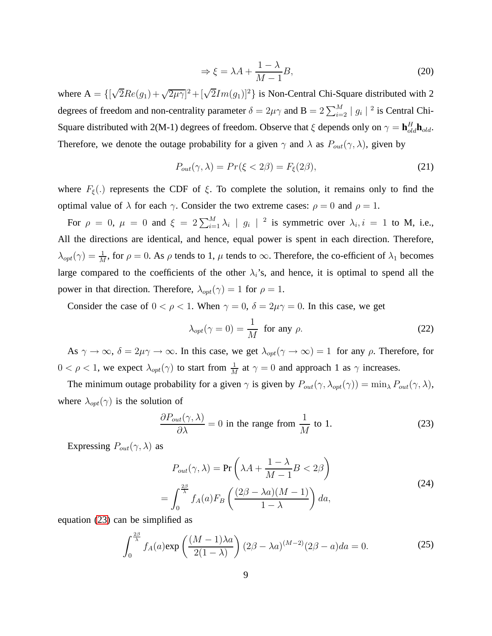$$
\Rightarrow \xi = \lambda A + \frac{1 - \lambda}{M - 1} B,\tag{20}
$$

where  $A = \left\{ [\sqrt{2}Re(g_1) + \sqrt{2\mu\gamma}]^2 + [\sqrt{2}Im(g_1)]^2 \right\}$  is Non-Central Chi-Square distributed with 2 degrees of freedom and non-centrality parameter  $\delta = 2\mu\gamma$  and  $B = 2\sum_{i=2}^{M} |g_i|^{2}$  is Central Chi-Square distributed with 2(M-1) degrees of freedom. Observe that  $\xi$  depends only on  $\gamma = \mathbf{h}_{old}^H \mathbf{h}_{old}$ . Therefore, we denote the outage probability for a given  $\gamma$  and  $\lambda$  as  $P_{out}(\gamma, \lambda)$ , given by

$$
P_{out}(\gamma,\lambda) = Pr(\xi < 2\beta) = F_{\xi}(2\beta),\tag{21}
$$

where  $F_{\xi}$ (.) represents the CDF of  $\xi$ . To complete the solution, it remains only to find the optimal value of  $\lambda$  for each  $\gamma$ . Consider the two extreme cases:  $\rho = 0$  and  $\rho = 1$ .

For  $\rho = 0$ ,  $\mu = 0$  and  $\xi = 2\sum_{i=1}^{M} \lambda_i |g_i|^2$  is symmetric over  $\lambda_i, i = 1$  to M, i.e., All the directions are identical, and hence, equal power is spent in each direction. Therefore,  $\lambda_{opt}(\gamma) = \frac{1}{M}$ , for  $\rho = 0$ . As  $\rho$  tends to 1,  $\mu$  tends to  $\infty$ . Therefore, the co-efficient of  $\lambda_1$  becomes large compared to the coefficients of the other  $\lambda_i$ 's, and hence, it is optimal to spend all the power in that direction. Therefore,  $\lambda_{opt}(\gamma) = 1$  for  $\rho = 1$ .

Consider the case of  $0 < \rho < 1$ . When  $\gamma = 0$ ,  $\delta = 2\mu\gamma = 0$ . In this case, we get

$$
\lambda_{opt}(\gamma = 0) = \frac{1}{M} \text{ for any } \rho.
$$
 (22)

As  $\gamma \to \infty$ ,  $\delta = 2\mu\gamma \to \infty$ . In this case, we get  $\lambda_{opt}(\gamma \to \infty) = 1$  for any  $\rho$ . Therefore, for  $0 < \rho < 1$ , we expect  $\lambda_{opt}(\gamma)$  to start from  $\frac{1}{M}$  at  $\gamma = 0$  and approach 1 as  $\gamma$  increases.

The minimum outage probability for a given  $\gamma$  is given by  $P_{out}(\gamma, \lambda_{opt}(\gamma)) = \min_{\lambda} P_{out}(\gamma, \lambda)$ , where  $\lambda_{opt}(\gamma)$  is the solution of

<span id="page-8-0"></span>
$$
\frac{\partial P_{out}(\gamma,\lambda)}{\partial \lambda} = 0 \text{ in the range from } \frac{1}{M} \text{ to } 1. \tag{23}
$$

Expressing  $P_{out}(\gamma, \lambda)$  as

$$
P_{out}(\gamma, \lambda) = \Pr\left(\lambda A + \frac{1 - \lambda}{M - 1}B < 2\beta\right)
$$
\n
$$
= \int_0^{\frac{2\beta}{\lambda}} f_A(a) F_B\left(\frac{(2\beta - \lambda a)(M - 1)}{1 - \lambda}\right) da,
$$
\n
$$
(24)
$$

equation [\(23\)](#page-8-0) can be simplified as

$$
\int_0^{\frac{2\beta}{\lambda}} f_A(a) \exp\left(\frac{(M-1)\lambda a}{2(1-\lambda)}\right) (2\beta - \lambda a)^{(M-2)} (2\beta - a) da = 0.
$$
 (25)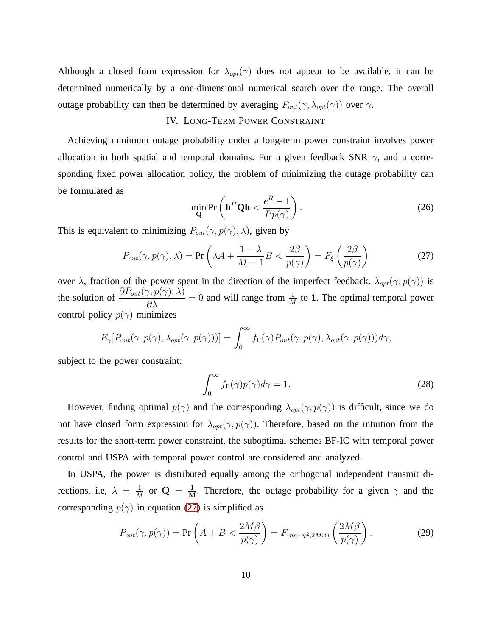<span id="page-9-0"></span>Although a closed form expression for  $\lambda_{opt}(\gamma)$  does not appear to be available, it can be determined numerically by a one-dimensional numerical search over the range. The overall outage probability can then be determined by averaging  $P_{out}(\gamma, \lambda_{opt}(\gamma))$  over  $\gamma$ .

#### IV. LONG-TERM POWER CONSTRAINT

Achieving minimum outage probability under a long-term power constraint involves power allocation in both spatial and temporal domains. For a given feedback SNR  $\gamma$ , and a corresponding fixed power allocation policy, the problem of minimizing the outage probability can be formulated as

$$
\min_{\mathbf{Q}} \mathbf{Pr}\left(\mathbf{h}^{H} \mathbf{Q} \mathbf{h} < \frac{e^{R} - 1}{P p(\gamma)}\right). \tag{26}
$$

<span id="page-9-1"></span>This is equivalent to minimizing  $P_{out}(\gamma, p(\gamma), \lambda)$ , given by

$$
P_{out}(\gamma, p(\gamma), \lambda) = \Pr\left(\lambda A + \frac{1 - \lambda}{M - 1} B < \frac{2\beta}{p(\gamma)}\right) = F_{\xi}\left(\frac{2\beta}{p(\gamma)}\right) \tag{27}
$$

over  $\lambda$ , fraction of the power spent in the direction of the imperfect feedback.  $\lambda_{opt}(\gamma, p(\gamma))$  is the solution of  $\frac{\partial P_{out}(\gamma, p(\gamma), \lambda)}{\partial \lambda} = 0$  and will range from  $\frac{1}{M}$  to 1. The optimal temporal power control policy  $p(\gamma)$  minimizes

$$
E_{\gamma}[P_{out}(\gamma, p(\gamma), \lambda_{opt}(\gamma, p(\gamma)))] = \int_0^\infty f_{\Gamma}(\gamma) P_{out}(\gamma, p(\gamma), \lambda_{opt}(\gamma, p(\gamma))) d\gamma,
$$

subject to the power constraint:

<span id="page-9-2"></span>
$$
\int_0^\infty f_\Gamma(\gamma) p(\gamma) d\gamma = 1.
$$
 (28)

However, finding optimal  $p(\gamma)$  and the corresponding  $\lambda_{opt}(\gamma, p(\gamma))$  is difficult, since we do not have closed form expression for  $\lambda_{opt}(\gamma, p(\gamma))$ . Therefore, based on the intuition from the results for the short-term power constraint, the suboptimal schemes BF-IC with temporal power control and USPA with temporal power control are considered and analyzed.

In USPA, the power is distributed equally among the orthogonal independent transmit directions, i.e,  $\lambda = \frac{1}{M}$  $\frac{1}{M}$  or  $Q = \frac{I}{M}$ . Therefore, the outage probability for a given  $\gamma$  and the corresponding  $p(\gamma)$  in equation [\(27\)](#page-9-1) is simplified as

$$
P_{out}(\gamma, p(\gamma)) = \Pr\left(A + B < \frac{2M\beta}{p(\gamma)}\right) = F_{(nc - \chi^2, 2M, \delta)}\left(\frac{2M\beta}{p(\gamma)}\right). \tag{29}
$$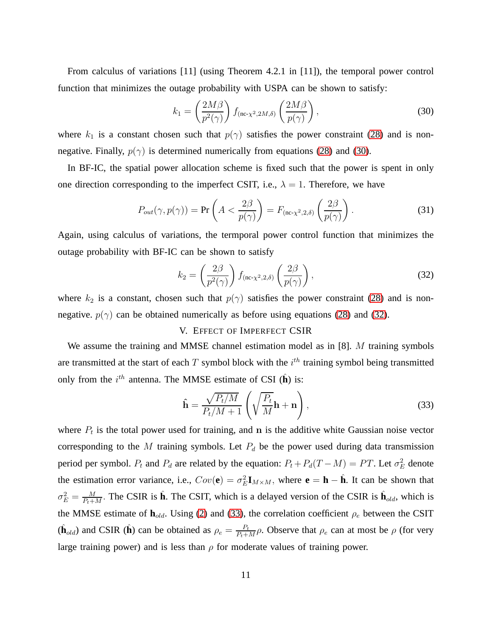From calculus of variations [11] (using Theorem 4.2.1 in [11]), the temporal power control function that minimizes the outage probability with USPA can be shown to satisfy:

<span id="page-10-1"></span>
$$
k_1 = \left(\frac{2M\beta}{p^2(\gamma)}\right) f_{\text{(nc-}\chi^2, 2M,\delta)} \left(\frac{2M\beta}{p(\gamma)}\right),\tag{30}
$$

where  $k_1$  is a constant chosen such that  $p(\gamma)$  satisfies the power constraint [\(28\)](#page-9-2) and is nonnegative. Finally,  $p(\gamma)$  is determined numerically from equations [\(28\)](#page-9-2) and [\(30\)](#page-10-1).

In BF-IC, the spatial power allocation scheme is fixed such that the power is spent in only one direction corresponding to the imperfect CSIT, i.e.,  $\lambda = 1$ . Therefore, we have

$$
P_{out}(\gamma, p(\gamma)) = \Pr\left(A < \frac{2\beta}{p(\gamma)}\right) = F_{\text{(nc-}\chi^2, 2,\delta)}\left(\frac{2\beta}{p(\gamma)}\right). \tag{31}
$$

Again, using calculus of variations, the termporal power control function that minimizes the outage probability with BF-IC can be shown to satisfy

<span id="page-10-2"></span>
$$
k_2 = \left(\frac{2\beta}{p^2(\gamma)}\right) f_{\text{(nc-}\chi^2,2,\delta)}\left(\frac{2\beta}{p(\gamma)}\right),\tag{32}
$$

<span id="page-10-0"></span>where  $k_2$  is a constant, chosen such that  $p(\gamma)$  satisfies the power constraint [\(28\)](#page-9-2) and is nonnegative.  $p(\gamma)$  can be obtained numerically as before using equations [\(28\)](#page-9-2) and [\(32\)](#page-10-2).

# V. EFFECT OF IMPERFECT CSIR

We assume the training and MMSE channel estimation model as in [8]. M training symbols are transmitted at the start of each T symbol block with the  $i^{th}$  training symbol being transmitted only from the  $i^{th}$  antenna. The MMSE estimate of CSI  $(\hat{\bf h})$  is:

<span id="page-10-3"></span>
$$
\hat{\mathbf{h}} = \frac{\sqrt{P_t/M}}{P_t/M + 1} \left( \sqrt{\frac{P_t}{M}} \mathbf{h} + \mathbf{n} \right),\tag{33}
$$

where  $P_t$  is the total power used for training, and n is the additive white Gaussian noise vector corresponding to the  $M$  training symbols. Let  $P_d$  be the power used during data transmission period per symbol.  $P_t$  and  $P_d$  are related by the equation:  $P_t + P_d(T - M) = PT$ . Let  $\sigma_E^2$  denote the estimation error variance, i.e.,  $Cov(\mathbf{e}) = \sigma_E^2 \mathbf{I}_{M \times M}$ , where  $\mathbf{e} = \mathbf{h} - \hat{\mathbf{h}}$ . It can be shown that  $\sigma_E^2 = \frac{M}{P_{t+1}}$  $\frac{M}{P_t+M}$ . The CSIR is  $\hat{\mathbf{h}}$ . The CSIT, which is a delayed version of the CSIR is  $\hat{\mathbf{h}}_{old}$ , which is the MMSE estimate of  $h_{old}$ . Using [\(2\)](#page-3-3) and [\(33\)](#page-10-3), the correlation coefficient  $\rho_e$  between the CSIT  $(\hat{\mathbf{h}}_{old})$  and CSIR  $(\hat{\mathbf{h}})$  can be obtained as  $\rho_e = \frac{P_t}{P_t + P_t}$  $\frac{P_t}{P_t+M}\rho$ . Observe that  $\rho_e$  can at most be  $\rho$  (for very large training power) and is less than  $\rho$  for moderate values of training power.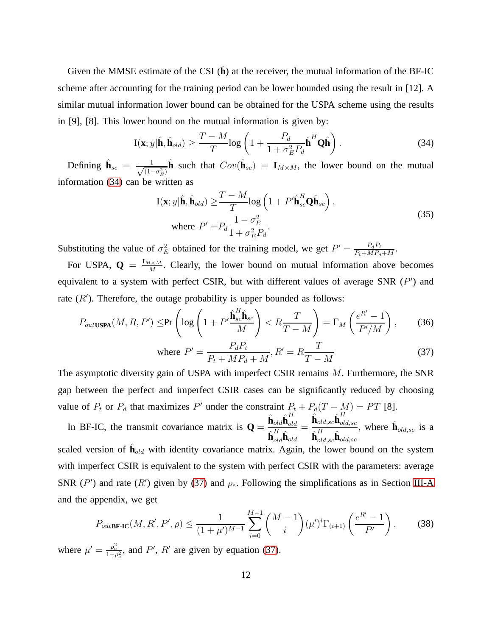Given the MMSE estimate of the CSI ( $\hat{h}$ ) at the receiver, the mutual information of the BF-IC scheme after accounting for the training period can be lower bounded using the result in [12]. A similar mutual information lower bound can be obtained for the USPA scheme using the results in [9], [8]. This lower bound on the mutual information is given by:

<span id="page-11-0"></span>
$$
\mathbf{I}(\mathbf{x};y|\hat{\mathbf{h}},\hat{\mathbf{h}}_{old}) \ge \frac{T-M}{T} \log \left(1 + \frac{P_d}{1 + \sigma_E^2 P_d} \hat{\mathbf{h}}^H \mathbf{Q} \hat{\mathbf{h}}\right). \tag{34}
$$

Defining  $\hat{\mathbf{h}}_{sc} = \frac{1}{\sqrt{1-\epsilon}}$  $\frac{1}{(1-\sigma_E^2)}$ **h**̂ such that  $Cov(\hat{\mathbf{h}}_{sc}) = \mathbf{I}_{M \times M}$ , the lower bound on the mutual information [\(34\)](#page-11-0) can be written as

$$
\mathbf{I}(\mathbf{x}; y | \hat{\mathbf{h}}, \hat{\mathbf{h}}_{old}) \geq \frac{T - M}{T} \log \left( 1 + P' \hat{\mathbf{h}}_{sc}^{H} \mathbf{Q} \hat{\mathbf{h}}_{sc} \right),
$$
\nwhere  $P' = P_d \frac{1 - \sigma_E^2}{1 + \sigma_E^2 P_d}$ . (35)

Substituting the value of  $\sigma_E^2$  obtained for the training model, we get  $P' = \frac{P_d P_t}{P_t + MP_d}$  $\frac{P_dP_t}{P_t+MP_d+M}$ .

For USPA,  $\mathbf{Q} = \frac{\mathbf{I}_{M \times M}}{M}$  $\frac{M \times M}{M}$ . Clearly, the lower bound on mutual information above becomes equivalent to a system with perfect CSIR, but with different values of average SNR  $(P')$  and rate  $(R')$ . Therefore, the outage probability is upper bounded as follows:

$$
P_{out\text{USPA}}(M, R, P') \le \Pr\left(\log\left(1 + P'\frac{\hat{\mathbf{h}}_{sc}^H \hat{\mathbf{h}}_{sc}}{M}\right) < R\frac{T}{T - M}\right) = \Gamma_M\left(\frac{e^{R'} - 1}{P'M}\right),\tag{36}
$$

<span id="page-11-1"></span>where 
$$
P' = \frac{P_d P_t}{P_t + MP_d + M}, R' = R \frac{T}{T - M}
$$
 (37)

The asymptotic diversity gain of USPA with imperfect CSIR remains  $M$ . Furthermore, the SNR gap between the perfect and imperfect CSIR cases can be significantly reduced by choosing value of  $P_t$  or  $P_d$  that maximizes P' under the constraint  $P_t + P_d(T - M) = PT$  [8].

In BF-IC, the transmit covariance matrix is  $Q =$  $\hat{\textbf{h}}_{old}\hat{\textbf{h}}_{ol}^{H}$ old  $\hat{\textbf{h}}_{old}^H \hat{\textbf{h}}_{old}$ =  $\hat{\textbf{h}}_{old,sc}\hat{\textbf{h}}_{ol}^{H}$  $_{old,sc}$  $\hat{\textbf{h}}^H_{old,sc}\hat{\textbf{h}}_{old,sc}$ , where  $\hat{\mathbf{h}}_{old,sc}$  is a

scaled version of  $\hat{\mathbf{h}}_{old}$  with identity covariance matrix. Again, the lower bound on the system with imperfect CSIR is equivalent to the system with perfect CSIR with the parameters: average SNR (P') and rate (R') given by [\(37\)](#page-11-1) and  $\rho_e$ . Following the simplifications as in Section [III-A](#page-4-0) and the appendix, we get

$$
P_{out\text{BF-IC}}(M, R', P', \rho) \le \frac{1}{(1+\mu')^{M-1}} \sum_{i=0}^{M-1} {M-1 \choose i} (\mu')^i \Gamma_{(i+1)} \left(\frac{e^{R'}-1}{P'}\right),\tag{38}
$$

where  $\mu' = \frac{\rho_e^2}{1 - \rho_e^2}$ , and P', R' are given by equation [\(37\)](#page-11-1).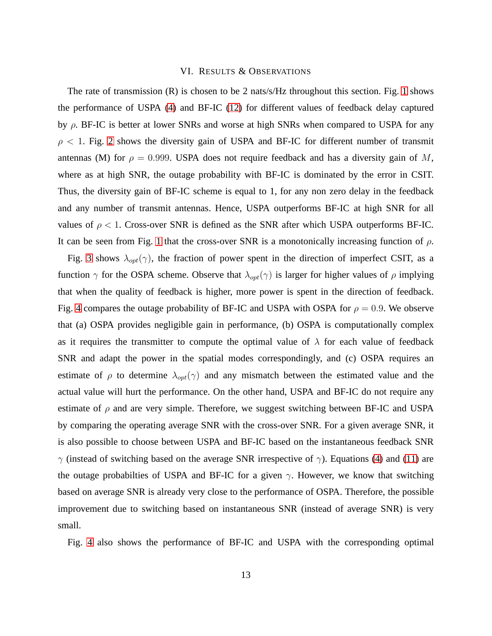#### VI. RESULTS & OBSERVATIONS

<span id="page-12-0"></span>The rate of transmission  $(R)$  is chosen to be 2 nats/s/Hz throughout this section. Fig. [1](#page-16-0) shows the performance of USPA [\(4\)](#page-4-2) and BF-IC [\(12\)](#page-5-0) for different values of feedback delay captured by  $\rho$ . BF-IC is better at lower SNRs and worse at high SNRs when compared to USPA for any  $\rho$  < 1. Fig. [2](#page-17-0) shows the diversity gain of USPA and BF-IC for different number of transmit antennas (M) for  $\rho = 0.999$ . USPA does not require feedback and has a diversity gain of M, where as at high SNR, the outage probability with BF-IC is dominated by the error in CSIT. Thus, the diversity gain of BF-IC scheme is equal to 1, for any non zero delay in the feedback and any number of transmit antennas. Hence, USPA outperforms BF-IC at high SNR for all values of  $\rho < 1$ . Cross-over SNR is defined as the SNR after which USPA outperforms BF-IC. It can be seen from Fig. [1](#page-16-0) that the cross-over SNR is a monotonically increasing function of  $\rho$ .

Fig. [3](#page-18-0) shows  $\lambda_{opt}(\gamma)$ , the fraction of power spent in the direction of imperfect CSIT, as a function  $\gamma$  for the OSPA scheme. Observe that  $\lambda_{opt}(\gamma)$  is larger for higher values of  $\rho$  implying that when the quality of feedback is higher, more power is spent in the direction of feedback. Fig. [4](#page-19-0) compares the outage probability of BF-IC and USPA with OSPA for  $\rho = 0.9$ . We observe that (a) OSPA provides negligible gain in performance, (b) OSPA is computationally complex as it requires the transmitter to compute the optimal value of  $\lambda$  for each value of feedback SNR and adapt the power in the spatial modes correspondingly, and (c) OSPA requires an estimate of  $\rho$  to determine  $\lambda_{opt}(\gamma)$  and any mismatch between the estimated value and the actual value will hurt the performance. On the other hand, USPA and BF-IC do not require any estimate of  $\rho$  and are very simple. Therefore, we suggest switching between BF-IC and USPA by comparing the operating average SNR with the cross-over SNR. For a given average SNR, it is also possible to choose between USPA and BF-IC based on the instantaneous feedback SNR  $γ$  (instead of switching based on the average SNR irrespective of  $γ$ ). Equations [\(4\)](#page-4-2) and [\(11\)](#page-5-1) are the outage probabilties of USPA and BF-IC for a given  $\gamma$ . However, we know that switching based on average SNR is already very close to the performance of OSPA. Therefore, the possible improvement due to switching based on instantaneous SNR (instead of average SNR) is very small.

Fig. [4](#page-19-0) also shows the performance of BF-IC and USPA with the corresponding optimal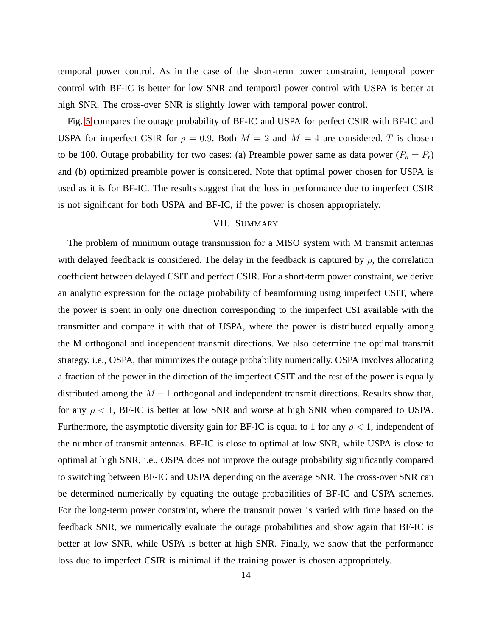temporal power control. As in the case of the short-term power constraint, temporal power control with BF-IC is better for low SNR and temporal power control with USPA is better at high SNR. The cross-over SNR is slightly lower with temporal power control.

Fig. [5](#page-20-0) compares the outage probability of BF-IC and USPA for perfect CSIR with BF-IC and USPA for imperfect CSIR for  $\rho = 0.9$ . Both  $M = 2$  and  $M = 4$  are considered. T is chosen to be 100. Outage probability for two cases: (a) Preamble power same as data power ( $P_d = P_t$ ) and (b) optimized preamble power is considered. Note that optimal power chosen for USPA is used as it is for BF-IC. The results suggest that the loss in performance due to imperfect CSIR is not significant for both USPA and BF-IC, if the power is chosen appropriately.

## VII. SUMMARY

<span id="page-13-0"></span>The problem of minimum outage transmission for a MISO system with M transmit antennas with delayed feedback is considered. The delay in the feedback is captured by  $\rho$ , the correlation coefficient between delayed CSIT and perfect CSIR. For a short-term power constraint, we derive an analytic expression for the outage probability of beamforming using imperfect CSIT, where the power is spent in only one direction corresponding to the imperfect CSI available with the transmitter and compare it with that of USPA, where the power is distributed equally among the M orthogonal and independent transmit directions. We also determine the optimal transmit strategy, i.e., OSPA, that minimizes the outage probability numerically. OSPA involves allocating a fraction of the power in the direction of the imperfect CSIT and the rest of the power is equally distributed among the  $M - 1$  orthogonal and independent transmit directions. Results show that, for any  $\rho < 1$ , BF-IC is better at low SNR and worse at high SNR when compared to USPA. Furthermore, the asymptotic diversity gain for BF-IC is equal to 1 for any  $\rho < 1$ , independent of the number of transmit antennas. BF-IC is close to optimal at low SNR, while USPA is close to optimal at high SNR, i.e., OSPA does not improve the outage probability significantly compared to switching between BF-IC and USPA depending on the average SNR. The cross-over SNR can be determined numerically by equating the outage probabilities of BF-IC and USPA schemes. For the long-term power constraint, where the transmit power is varied with time based on the feedback SNR, we numerically evaluate the outage probabilities and show again that BF-IC is better at low SNR, while USPA is better at high SNR. Finally, we show that the performance loss due to imperfect CSIR is minimal if the training power is chosen appropriately.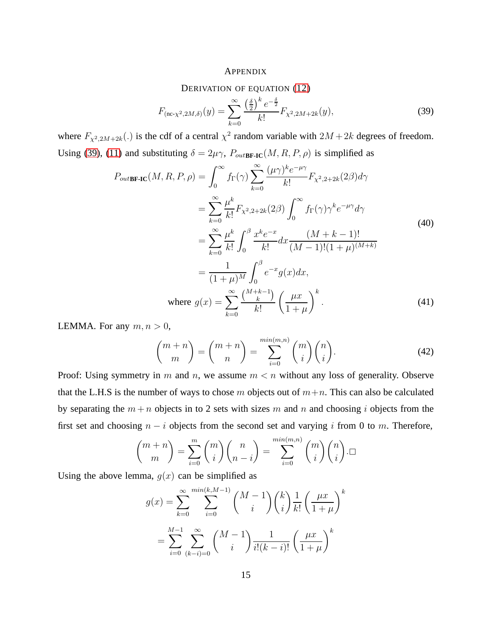### APPENDIX

DERIVATION OF EQUATION [\(12\)](#page-5-0)

<span id="page-14-0"></span>
$$
F_{(\text{nc-}\chi^2,2M,\delta)}(y) = \sum_{k=0}^{\infty} \frac{\left(\frac{\delta}{2}\right)^k e^{-\frac{\delta}{2}}}{k!} F_{\chi^2,2M+2k}(y),\tag{39}
$$

where  $F_{\chi^2, 2M+2k}(.)$  is the cdf of a central  $\chi^2$  random variable with  $2M+2k$  degrees of freedom. Using [\(39\)](#page-14-0), [\(11\)](#page-5-1) and substituting  $\delta = 2\mu\gamma$ ,  $P_{outB \textbf{F-IC}}(M, R, P, \rho)$  is simplified as

<span id="page-14-1"></span>
$$
P_{out\text{BF-IC}}(M, R, P, \rho) = \int_0^\infty f_\Gamma(\gamma) \sum_{k=0}^\infty \frac{(\mu \gamma)^k e^{-\mu \gamma}}{k!} F_{\chi^2, 2+2k}(2\beta) d\gamma
$$
  
\n
$$
= \sum_{k=0}^\infty \frac{\mu^k}{k!} F_{\chi^2, 2+2k}(2\beta) \int_0^\infty f_\Gamma(\gamma) \gamma^k e^{-\mu \gamma} d\gamma
$$
  
\n
$$
= \sum_{k=0}^\infty \frac{\mu^k}{k!} \int_0^\beta \frac{x^k e^{-x}}{k!} dx \frac{(M+k-1)!}{(M-1)!(1+\mu)^{(M+k)}}
$$
  
\n
$$
= \frac{1}{(1+\mu)^M} \int_0^\beta e^{-x} g(x) dx,
$$
  
\nwhere  $g(x) = \sum_{k=0}^\infty \frac{\binom{M+k-1}{k}}{k!} \left(\frac{\mu x}{1+\mu}\right)^k.$  (41)

LEMMA. For any  $m, n > 0$ ,

$$
\binom{m+n}{m} = \binom{m+n}{n} = \sum_{i=0}^{\min(m,n)} \binom{m}{i} \binom{n}{i}.
$$
 (42)

Proof: Using symmetry in m and n, we assume  $m < n$  without any loss of generality. Observe that the L.H.S is the number of ways to chose m objects out of  $m+n$ . This can also be calculated by separating the  $m + n$  objects in to 2 sets with sizes m and n and choosing i objects from the first set and choosing  $n - i$  objects from the second set and varying i from 0 to m. Therefore,

$$
\binom{m+n}{m} = \sum_{i=0}^{m} \binom{m}{i} \binom{n}{n-i} = \sum_{i=0}^{\min(m,n)} \binom{m}{i} \binom{n}{i} \square
$$

Using the above lemma,  $q(x)$  can be simplified as

$$
g(x) = \sum_{k=0}^{\infty} \sum_{i=0}^{\min(k,M-1)} {M-1 \choose i} {k \choose i} \frac{1}{k!} \left(\frac{\mu x}{1+\mu}\right)^k
$$

$$
= \sum_{i=0}^{M-1} \sum_{(k-i)=0}^{\infty} {M-1 \choose i} \frac{1}{i!(k-i)!} \left(\frac{\mu x}{1+\mu}\right)^k
$$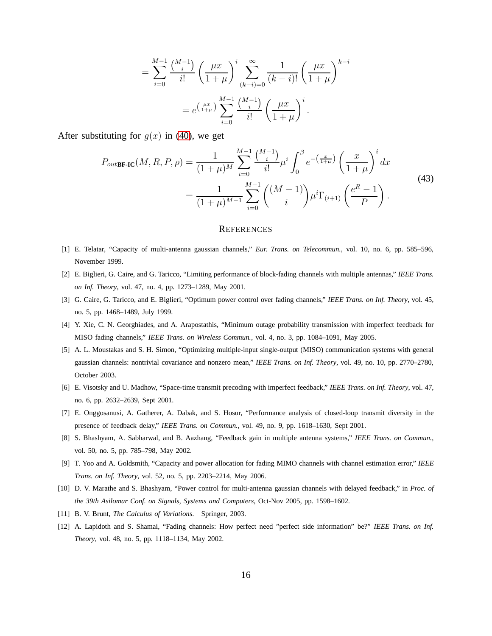$$
= \sum_{i=0}^{M-1} \frac{\binom{M-1}{i}}{i!} \left(\frac{\mu x}{1+\mu}\right)^i \sum_{(k-i)=0}^{\infty} \frac{1}{(k-i)!} \left(\frac{\mu x}{1+\mu}\right)^{k-i}
$$

$$
= e^{\left(\frac{\mu x}{1+\mu}\right)} \sum_{i=0}^{M-1} \frac{\binom{M-1}{i}}{i!} \left(\frac{\mu x}{1+\mu}\right)^i.
$$

After substituting for  $g(x)$  in [\(40\)](#page-14-1), we get

$$
P_{out\text{BF-IC}}(M, R, P, \rho) = \frac{1}{(1+\mu)^M} \sum_{i=0}^{M-1} \frac{\binom{M-1}{i}}{i!} \mu^i \int_0^{\beta} e^{-\left(\frac{x}{1+\mu}\right)} \left(\frac{x}{1+\mu}\right)^i dx
$$
  
= 
$$
\frac{1}{(1+\mu)^{M-1}} \sum_{i=0}^{M-1} \binom{(M-1)}{i} \mu^i \Gamma_{(i+1)} \left(\frac{e^R - 1}{P}\right).
$$
 (43)

#### **REFERENCES**

- [1] E. Telatar, "Capacity of multi-antenna gaussian channels," *Eur. Trans. on Telecommun.*, vol. 10, no. 6, pp. 585–596, November 1999.
- [2] E. Biglieri, G. Caire, and G. Taricco, "Limiting performance of block-fading channels with multiple antennas," *IEEE Trans. on Inf. Theory*, vol. 47, no. 4, pp. 1273–1289, May 2001.
- [3] G. Caire, G. Taricco, and E. Biglieri, "Optimum power control over fading channels," *IEEE Trans. on Inf. Theory*, vol. 45, no. 5, pp. 1468–1489, July 1999.
- [4] Y. Xie, C. N. Georghiades, and A. Arapostathis, "Minimum outage probability transmission with imperfect feedback for MISO fading channels," *IEEE Trans. on Wireless Commun.*, vol. 4, no. 3, pp. 1084–1091, May 2005.
- [5] A. L. Moustakas and S. H. Simon, "Optimizing multiple-input single-output (MISO) communication systems with general gaussian channels: nontrivial covariance and nonzero mean," *IEEE Trans. on Inf. Theory*, vol. 49, no. 10, pp. 2770–2780, October 2003.
- [6] E. Visotsky and U. Madhow, "Space-time transmit precoding with imperfect feedback," *IEEE Trans. on Inf. Theory*, vol. 47, no. 6, pp. 2632–2639, Sept 2001.
- [7] E. Onggosanusi, A. Gatherer, A. Dabak, and S. Hosur, "Performance analysis of closed-loop transmit diversity in the presence of feedback delay," *IEEE Trans. on Commun.*, vol. 49, no. 9, pp. 1618–1630, Sept 2001.
- [8] S. Bhashyam, A. Sabharwal, and B. Aazhang, "Feedback gain in multiple antenna systems," *IEEE Trans. on Commun.*, vol. 50, no. 5, pp. 785–798, May 2002.
- [9] T. Yoo and A. Goldsmith, "Capacity and power allocation for fading MIMO channels with channel estimation error," *IEEE Trans. on Inf. Theory*, vol. 52, no. 5, pp. 2203–2214, May 2006.
- [10] D. V. Marathe and S. Bhashyam, "Power control for multi-antenna gaussian channels with delayed feedback," in *Proc. of the 39th Asilomar Conf. on Signals, Systems and Computers*, Oct-Nov 2005, pp. 1598–1602.
- [11] B. V. Brunt, *The Calculus of Variations*. Springer, 2003.
- [12] A. Lapidoth and S. Shamai, "Fading channels: How perfect need "perfect side information" be?" *IEEE Trans. on Inf. Theory*, vol. 48, no. 5, pp. 1118–1134, May 2002.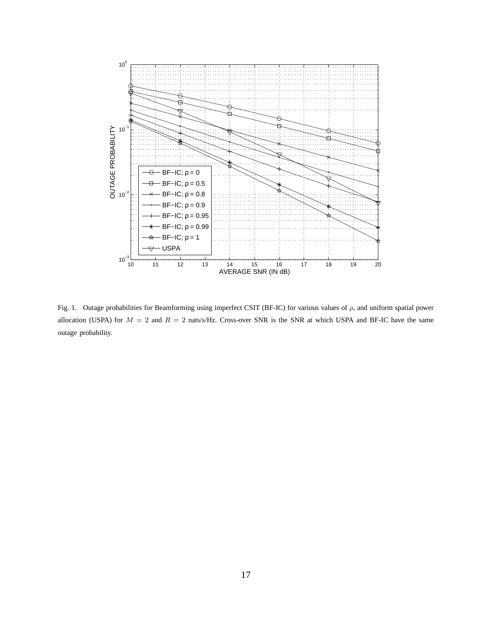

<span id="page-16-0"></span>Fig. 1. Outage probabilities for Beamforming using imperfect CSIT (BF-IC) for various values of  $\rho$ , and uniform spatial power allocation (USPA) for  $M = 2$  and  $R = 2$  nats/s/Hz. Cross-over SNR is the SNR at which USPA and BF-IC have the same outage probability.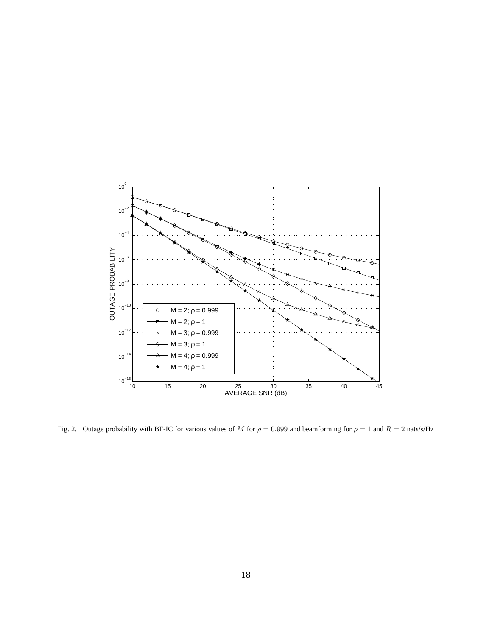

<span id="page-17-0"></span>Fig. 2. Outage probability with BF-IC for various values of M for  $\rho = 0.999$  and beamforming for  $\rho = 1$  and  $R = 2$  nats/s/Hz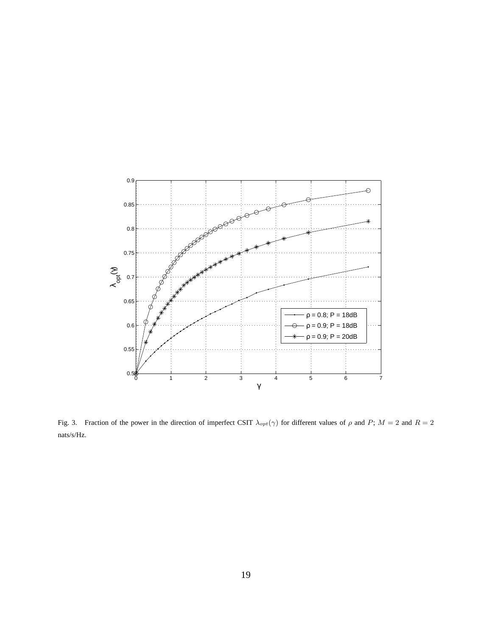

<span id="page-18-0"></span>Fig. 3. Fraction of the power in the direction of imperfect CSIT  $\lambda_{opt}(\gamma)$  for different values of  $\rho$  and  $P$ ;  $M = 2$  and  $R = 2$ nats/s/Hz.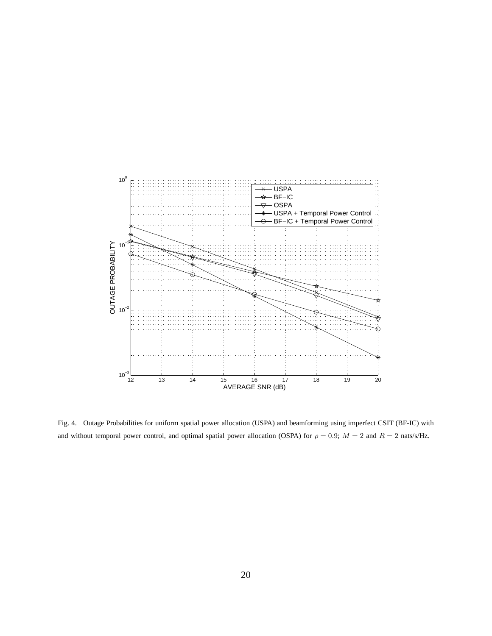

<span id="page-19-0"></span>Fig. 4. Outage Probabilities for uniform spatial power allocation (USPA) and beamforming using imperfect CSIT (BF-IC) with and without temporal power control, and optimal spatial power allocation (OSPA) for  $\rho = 0.9$ ;  $M = 2$  and  $R = 2$  nats/s/Hz.